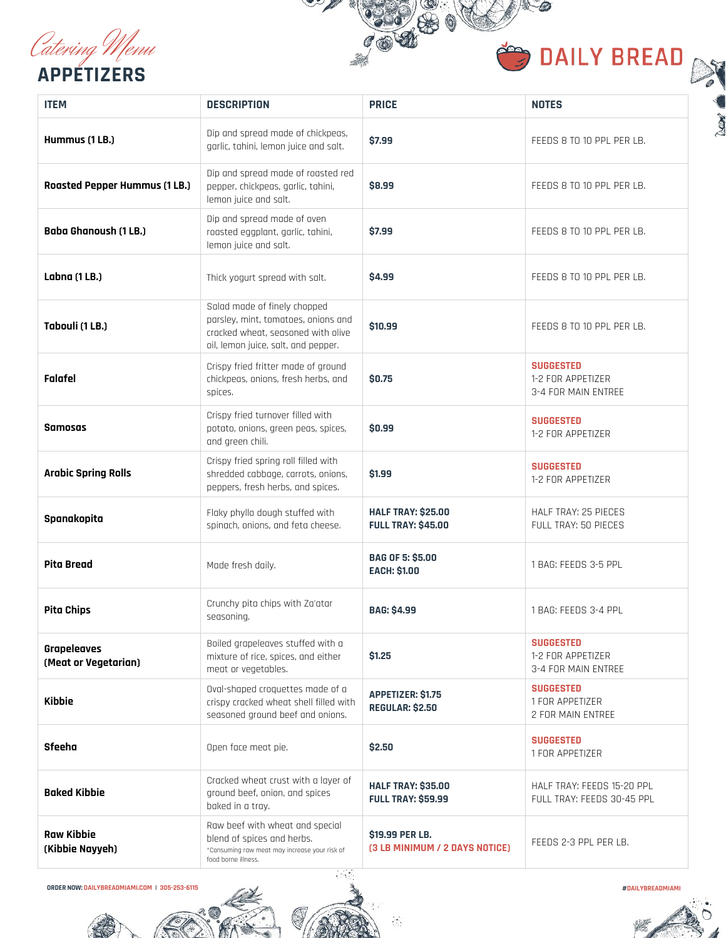[Catering Menu](https://dailybreadmiami.com/catering) **APPETIZERS**



 $\bullet$ 

0

| <b>ITEM</b>                          | <b>DESCRIPTION</b>                                                                                                                               | <b>PRICE</b>                                           | <b>NOTES</b>                                                 |
|--------------------------------------|--------------------------------------------------------------------------------------------------------------------------------------------------|--------------------------------------------------------|--------------------------------------------------------------|
| Hummus (1LB.)                        | Dip and spread made of chickpeas,<br>garlic, tahini, lemon juice and salt.                                                                       | \$7.99                                                 | FEEDS 8 TO 10 PPL PER LB.                                    |
| <b>Roasted Pepper Hummus (1 LB.)</b> | Dip and spread made of roasted red<br>pepper, chickpeas, garlic, tahini,<br>lemon juice and salt.                                                | \$8.99                                                 | FEEDS 8 TO 10 PPL PER LB.                                    |
| <b>Baba Ghanoush (1 LB.)</b>         | Dip and spread made of oven<br>roasted eggplant, garlic, tahini,<br>lemon juice and salt.                                                        | \$7.99                                                 | FEEDS 8 TO 10 PPL PER LB.                                    |
| Labna (1 LB.)                        | Thick yogurt spread with salt.                                                                                                                   | \$4.99                                                 | FEEDS 8 TO 10 PPL PER LB.                                    |
| Tabouli (1 LB.)                      | Salad made of finely chopped<br>parsley, mint, tomatoes, onions and<br>cracked wheat, seasoned with olive<br>oil, lemon juice, salt, and pepper. | \$10,99                                                | FEEDS 8 TO 10 PPL PER LB.                                    |
| Falafel                              | Crispy fried fritter made of ground<br>chickpeas, onions, fresh herbs, and<br>spices.                                                            | \$0.75                                                 | <b>SUGGESTED</b><br>1-2 FOR APPETIZER<br>3-4 FOR MAIN ENTREE |
| <b>Samosas</b>                       | Crispy fried turnover filled with<br>potato, onions, green peas, spices,<br>and green chili.                                                     | \$0.99                                                 | <b>SUGGESTED</b><br>1-2 FOR APPETIZER                        |
| <b>Arabic Spring Rolls</b>           | Crispy fried spring roll filled with<br>shredded cabbage, carrots, onions,<br>peppers, fresh herbs, and spices.                                  | \$1.99                                                 | <b>SUGGESTED</b><br>1-2 FOR APPETIZER                        |
| Spanakopita                          | Flaky phyllo dough stuffed with<br>spinach, onions, and feta cheese.                                                                             | <b>HALF TRAY: \$25.00</b><br><b>FULL TRAY: \$45.00</b> | <b>HALF TRAY: 25 PIECES</b><br>FULL TRAY: 50 PIECES          |
| <b>Pita Bread</b>                    | Made fresh daily.                                                                                                                                | <b>BAG OF 5: \$5.00</b><br><b>EACH: \$1.00</b>         | 1 BAG: FEEDS 3-5 PPL                                         |
| <b>Pita Chips</b>                    | Crunchy pita chips with Za'atar<br>seasoning.                                                                                                    | <b>BAG: \$4.99</b>                                     | 1 BAG: FEEDS 3-4 PPL                                         |
| Grapeleaves<br>(Meat or Vegetarian)  | Boiled grapeleaves stuffed with a<br>mixture of rice, spices, and either<br>meat or vegetables.                                                  | \$1.25                                                 | <b>SUGGESTED</b><br>1-2 FOR APPETIZER<br>3-4 FOR MAIN ENTREE |
| <b>Kibbie</b>                        | Oval-shaped croquettes made of a<br>crispy cracked wheat shell filled with<br>seasoned ground beef and onions.                                   | <b>APPETIZER: \$1.75</b><br><b>REGULAR: \$2.50</b>     | <b>SUGGESTED</b><br>1 FOR APPETIZER<br>2 FOR MAIN ENTREE     |
| <b>Sfeeha</b>                        | Open face meat pie.                                                                                                                              | \$2.50                                                 | <b>SUGGESTED</b><br>1 FOR APPETIZER                          |
| <b>Baked Kibbie</b>                  | Cracked wheat crust with a layer of<br>ground beef, onion, and spices<br>baked in a tray.                                                        | <b>HALF TRAY: \$35.00</b><br><b>FULL TRAY: \$59.99</b> | HALF TRAY: FEEDS 15-20 PPL<br>FULL TRAY: FEEDS 30-45 PPL     |
| Raw Kibbie<br>(Kibbie Nayyeh)        | Raw beef with wheat and special<br>blend of spices and herbs.<br>*Consuming raw meat may increase your risk of<br>food borne illness.            | \$19.99 PER LB.<br>(3 LB MINIMUM / 2 DAYS NOTICE)      | FEEDS 2-3 PPL PER LB.                                        |

**ORDER NOW: [DAILYBREADMIAMI.COM](https://dailybreadmiami.com/) | 305-253-6115**

**[#DAILYBREADMIAMI](https://www.instagram.com/dailybreadmiami)**



 $\mathcal{F}_{\mathcal{A}}$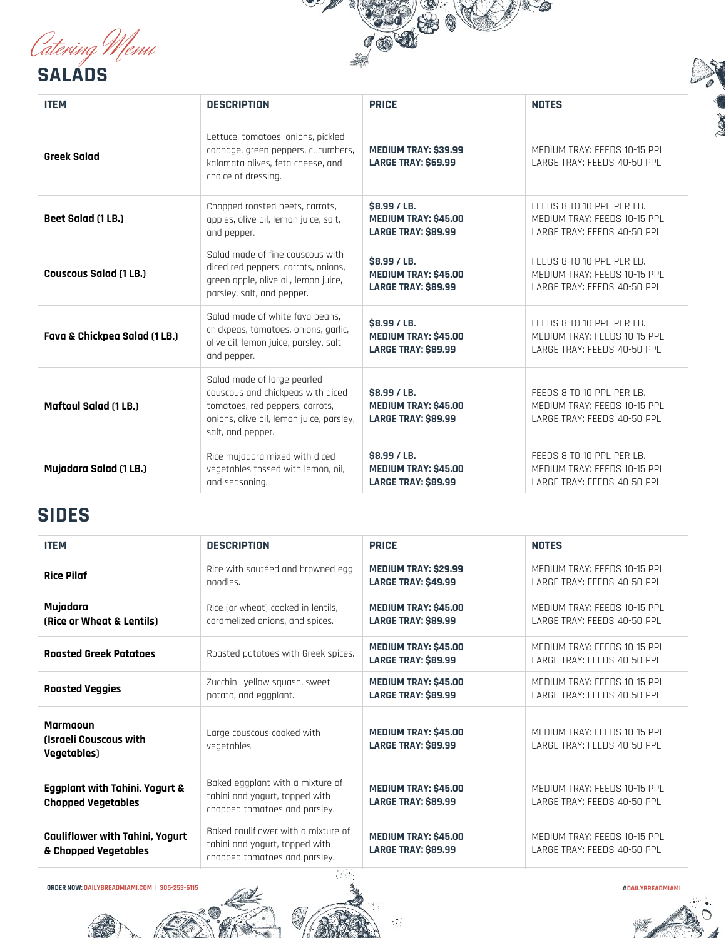[Catering Menu](https://dailybreadmiami.com/catering)

**SALADS**





| <b>ITEM</b>                   | <b>DESCRIPTION</b>                                                                                                                                                   | <b>PRICE</b>                                                              | <b>NOTES</b>                                                                             |
|-------------------------------|----------------------------------------------------------------------------------------------------------------------------------------------------------------------|---------------------------------------------------------------------------|------------------------------------------------------------------------------------------|
| <b>Greek Salad</b>            | Lettuce, tomatoes, onions, pickled<br>cabbage, green peppers, cucumbers,<br>kalamata olives, feta cheese, and<br>choice of dressing.                                 | <b>MEDIUM TRAY: \$39.99</b><br><b>LARGE TRAY: \$69.99</b>                 | MEDIUM TRAY: FEEDS 10-15 PPL<br>LARGE TRAY: FEEDS 40-50 PPL                              |
| Beet Salad (1 LB.)            | Chopped roasted beets, carrots,<br>apples, olive oil, lemon juice, salt,<br>and pepper.                                                                              | \$8.99 / LB.<br>MEDIUM TRAY: \$45.00<br><b>LARGE TRAY: \$89.99</b>        | FEEDS 8 TO 10 PPL PER LB.<br>MEDIUM TRAY: FEEDS 10-15 PPL<br>LARGE TRAY: FEEDS 40-50 PPL |
| <b>Couscous Salad (1 LB.)</b> | Salad made of fine couscous with<br>diced red peppers, carrots, onions,<br>green apple, olive oil, lemon juice,<br>parsley, salt, and pepper.                        | \$8,99 / LB.<br><b>MEDIUM TRAY: \$45.00</b><br><b>LARGE TRAY: \$89.99</b> | FEEDS 8 TO 10 PPL PER LB.<br>MEDIUM TRAY: FEEDS 10-15 PPL<br>LARGE TRAY: FEEDS 40-50 PPL |
| Fava & Chickpea Salad (1 LB.) | Salad made of white fava beans.<br>chickpeas, tomatoes, onions, garlic,<br>olive oil, lemon juice, parsley, salt,<br>and pepper.                                     | \$8.99 / LB.<br>MEDIUM TRAY: \$45.00<br><b>LARGE TRAY: \$89.99</b>        | FEEDS 8 TO 10 PPL PER LB.<br>MEDIUM TRAY: FEEDS 10-15 PPL<br>LARGE TRAY: FEEDS 40-50 PPL |
| <b>Maftoul Salad (1 LB.)</b>  | Salad made of large pearled<br>couscous and chickpeas with diced<br>tomatoes, red peppers, carrots,<br>onions, olive oil, lemon juice, parsley,<br>salt, and pepper. | \$8.99 / LB.<br>MEDIUM TRAY: \$45.00<br><b>LARGE TRAY: \$89.99</b>        | FEEDS 8 TO 10 PPL PER LB.<br>MEDIUM TRAY: FEEDS 10-15 PPL<br>LARGE TRAY: FEEDS 40-50 PPL |
| Mujadara Salad (1 LB.)        | Rice mujadara mixed with diced<br>vegetables tossed with lemon, oil,<br>and seasoning.                                                                               | \$8.99 / LB.<br>MEDIUM TRAY: \$45.00<br><b>LARGE TRAY: \$89.99</b>        | FEEDS 8 TO 10 PPL PER LB.<br>MEDIUM TRAY: FEEDS 10-15 PPL<br>LARGE TRAY: FEEDS 40-50 PPL |

## **SIDES**

| <b>ITEM</b>                                                             | <b>DESCRIPTION</b>                                                                                                            | <b>PRICE</b>                                              | <b>NOTES</b>                                                |
|-------------------------------------------------------------------------|-------------------------------------------------------------------------------------------------------------------------------|-----------------------------------------------------------|-------------------------------------------------------------|
| <b>Rice Pilaf</b>                                                       | Rice with sautéed and browned egg<br>noodles.                                                                                 | <b>MEDIUM TRAY: \$29.99</b><br><b>LARGE TRAY: \$49.99</b> | MEDIUM TRAY: FEEDS 10-15 PPL<br>LARGE TRAY: FEEDS 40-50 PPL |
| Mujadara<br>(Rice or Wheat & Lentils)                                   | Rice (or wheat) cooked in lentils,<br>caramelized onions, and spices.                                                         | <b>MEDIUM TRAY: \$45,00</b><br><b>LARGE TRAY: \$89.99</b> | MEDIUM TRAY: FEEDS 10-15 PPL<br>LARGE TRAY: FEEDS 40-50 PPL |
| <b>Roasted Greek Potatoes</b>                                           | Roasted potatoes with Greek spices.                                                                                           | <b>MEDIUM TRAY: \$45,00</b><br><b>LARGE TRAY: \$89.99</b> | MEDIUM TRAY: FEEDS 10-15 PPL<br>LARGE TRAY: FEEDS 40-50 PPL |
| <b>Roasted Veggies</b>                                                  | Zucchini, yellow squash, sweet<br>potato, and eggplant.                                                                       | <b>MEDIUM TRAY: \$45.00</b><br><b>LARGE TRAY: \$89.99</b> | MEDIUM TRAY: FEEDS 10-15 PPL<br>LARGE TRAY: FEEDS 40-50 PPL |
| <b>Marmanun</b><br><b>(Israeli Couscous with</b><br><b>Vegetables</b> ) | Large couscous cooked with<br>vegetables.                                                                                     | <b>MEDIUM TRAY: \$45.00</b><br><b>LARGE TRAY: \$89.99</b> | MEDIUM TRAY: FEEDS 10-15 PPL<br>LARGE TRAY: FEEDS 40-50 PPL |
| <b>Eggplant with Tahini, Yogurt &amp;</b><br><b>Chopped Vegetables</b>  | Baked eggplant with a mixture of<br>tahini and yogurt, topped with<br>chopped tomatoes and parsley.                           | <b>MEDIUM TRAY: \$45.00</b><br><b>LARGE TRAY: \$89.99</b> | MENIUM TRAY: FFFNS 10-15 PPL<br>LARGE TRAY: FEEDS 40-50 PPL |
| <b>Cauliflower with Tahini, Yogurt</b><br>& Chopped Vegetables          | Baked cauliflower with a mixture of<br>tahini and yogurt, topped with<br>chopped tomatoes and parsley.<br>$\alpha$ , $\alpha$ | <b>MEDIUM TRAY: \$45.00</b><br><b>LARGE TRAY: \$89.99</b> | MENIUM TRAY: FFFNS 10-15 PPL<br>LARGE TRAY: FEEDS 40-50 PPL |

#### **ORDER NOW: [DAILYBREADMIAMI.COM](https://dailybreadmiami.com/) | 305-253-6115 [#DAILYBREADMIAMI](https://www.instagram.com/dailybreadmiami)**



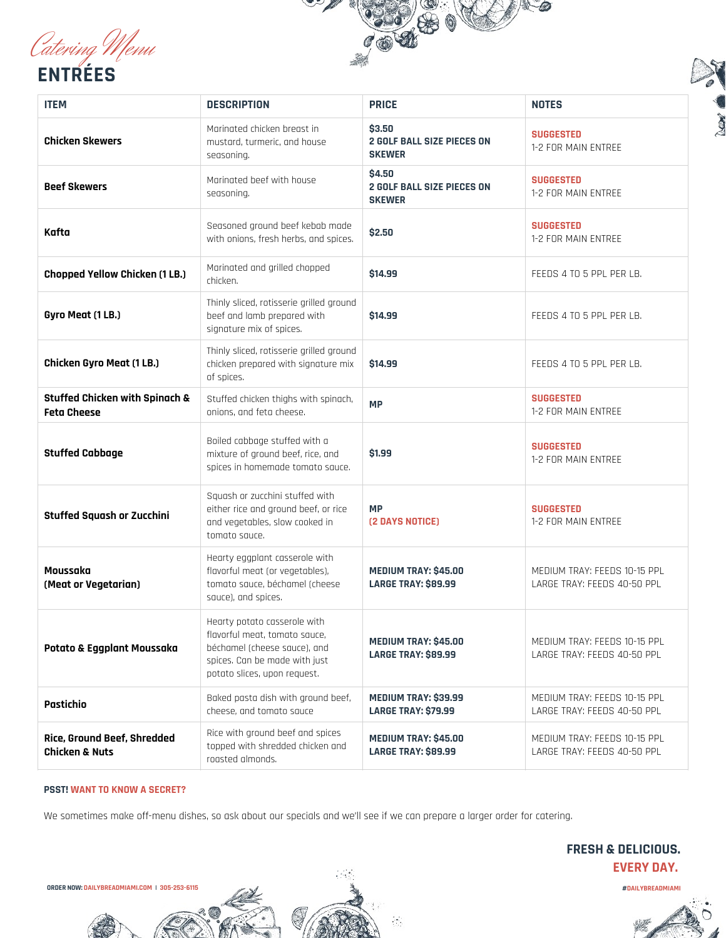[Catering Menu](https://dailybreadmiami.com/catering) **ENTRÉES**





| <b>ITEM</b>                                                     | <b>DESCRIPTION</b>                                                                                                                                             | <b>PRICE</b>                                                 | <b>NOTES</b>                                                |
|-----------------------------------------------------------------|----------------------------------------------------------------------------------------------------------------------------------------------------------------|--------------------------------------------------------------|-------------------------------------------------------------|
| <b>Chicken Skewers</b>                                          | Marinated chicken breast in<br>mustard, turmeric, and house<br>seasoning.                                                                                      | \$3.50<br><b>2 GOLF BALL SIZE PIECES ON</b><br><b>SKEWER</b> | <b>SUGGESTED</b><br>1-2 FOR MAIN ENTREE                     |
| <b>Beef Skewers</b>                                             | Marinated beef with house<br>seasoning.                                                                                                                        | \$4.50<br><b>2 GOLF BALL SIZE PIECES ON</b><br><b>SKEWER</b> | <b>SUGGESTED</b><br>1-2 FOR MAIN ENTREE                     |
| Kafta                                                           | Seasoned ground beef kebab made<br>with onions, fresh herbs, and spices.                                                                                       | \$2.50                                                       | <b>SUGGESTED</b><br>1-2 FOR MAIN ENTREE                     |
| <b>Chopped Yellow Chicken (1 LB.)</b>                           | Marinated and grilled chopped<br>chicken.                                                                                                                      | \$14.99                                                      | FEEDS 4 TO 5 PPL PER LB.                                    |
| Gyro Meat (1 LB.)                                               | Thinly sliced, rotisserie grilled ground<br>beef and lamb prepared with<br>signature mix of spices.                                                            | \$14.99                                                      | FEEDS 4 TO 5 PPL PER LB.                                    |
| <b>Chicken Gyro Meat (1 LB.)</b>                                | Thinly sliced, rotisserie grilled ground<br>chicken prepared with signature mix<br>of spices.                                                                  | \$14.99                                                      | FEEDS 4 TO 5 PPL PER LB.                                    |
| <b>Stuffed Chicken with Spinach &amp;</b><br><b>Feta Cheese</b> | Stuffed chicken thighs with spinach,<br>onions, and feta cheese.                                                                                               | <b>MP</b>                                                    | <b>SUGGESTED</b><br>1-2 FOR MAIN ENTREE                     |
| <b>Stuffed Cabbage</b>                                          | Boiled cabbage stuffed with a<br>mixture of ground beef, rice, and<br>spices in homemade tomato sauce.                                                         | \$1.99                                                       | <b>SUGGESTED</b><br>1-2 FOR MAIN ENTREE                     |
| <b>Stuffed Squash or Zucchini</b>                               | Squash or zucchini stuffed with<br>either rice and ground beef, or rice<br>and vegetables, slow cooked in<br>tomato sauce.                                     | <b>MP</b><br>(2 DAYS NOTICE)                                 | <b>SUGGESTED</b><br>1-2 FOR MAIN ENTREE                     |
| Moussaka<br>(Meat or Vegetarian)                                | Hearty eggplant casserole with<br>flavorful meat (or vegetables),<br>tomato sauce, béchamel (cheese<br>sauce), and spices.                                     | MEDIUM TRAY: \$45.00<br><b>LARGE TRAY: \$89.99</b>           | MEDIUM TRAY: FEEDS 10-15 PPL<br>LARGE TRAY: FEEDS 40-50 PPL |
| Potato & Eggplant Moussaka                                      | Hearty potato casserole with<br>flavorful meat, tomato sauce,<br>béchamel (cheese sauce), and<br>spices. Can be made with just<br>potato slices, upon request. | MEDIUM TRAY: \$45.00<br><b>LARGE TRAY: \$89.99</b>           | MEDIUM TRAY: FEEDS 10-15 PPL<br>LARGE TRAY: FEEDS 40-50 PPL |
| Pastichio                                                       | Baked pasta dish with ground beef,<br>cheese, and tomato sauce                                                                                                 | MEDIUM TRAY: \$39.99<br><b>LARGE TRAY: \$79.99</b>           | MEDIUM TRAY: FEEDS 10-15 PPL<br>LARGE TRAY: FEEDS 40-50 PPL |
| Rice, Ground Beef, Shredded<br><b>Chicken &amp; Nuts</b>        | Rice with ground beef and spices<br>topped with shredded chicken and<br>roasted almonds.                                                                       | MEDIUM TRAY: \$45.00<br><b>LARGE TRAY: \$89.99</b>           | MEDIUM TRAY: FEEDS 10-15 PPL<br>LARGE TRAY: FEEDS 40-50 PPL |

### **PSST! WANT TO KNOW A SECRET?**

We sometimes make off-menu dishes, so ask about our specials and we'll see if we can prepare a larger order for catering.

**ORDER NOW: [DAILYBREADMIAMI.COM](https://dailybreadmiami.com/) | 305-253-6115 [#DAILYBREADMIAMI](https://www.instagram.com/dailybreadmiami)**